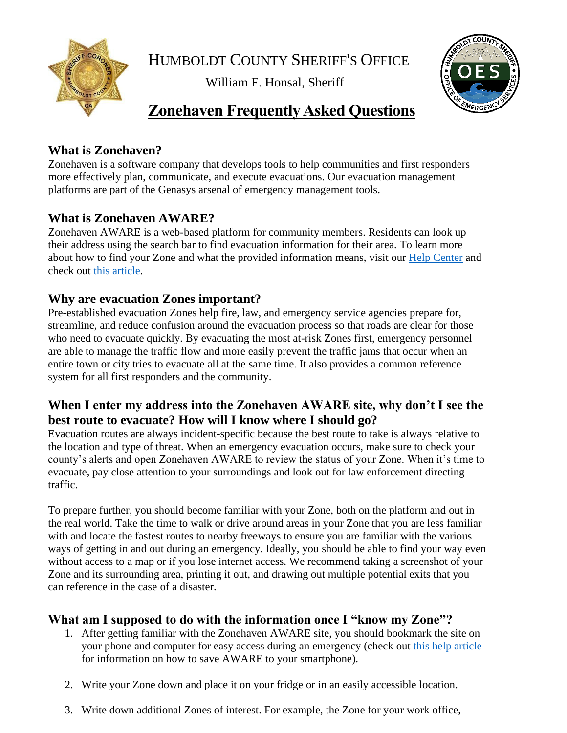

HUMBOLDT COUNTY SHERIFF'S OFFICE

William F. Honsal, Sheriff



# **Zonehaven Frequently Asked Questions**

# **What is Zonehaven?**

Zonehaven is a software company that develops tools to help communities and first responders more effectively plan, communicate, and execute evacuations. Our evacuation management platforms are part of the Genasys arsenal of emergency management tools.

# **What is Zonehaven AWARE?**

Zonehaven AWARE is a web-based platform for community members. Residents can look up their address using the search bar to find evacuation information for their area. To learn more about how to find your Zone and what the provided information means, visit our [Help Center](https://help.zonehaven.com/articles/help-for-aware-users) and check out [this article.](https://help.zonehaven.com/articles/finding-your-evacuation-zone-and-information)

#### **Why are evacuation Zones important?**

Pre-established evacuation Zones help fire, law, and emergency service agencies prepare for, streamline, and reduce confusion around the evacuation process so that roads are clear for those who need to evacuate quickly. By evacuating the most at-risk Zones first, emergency personnel are able to manage the traffic flow and more easily prevent the traffic jams that occur when an entire town or city tries to evacuate all at the same time. It also provides a common reference system for all first responders and the community.

#### **When I enter my address into the Zonehaven AWARE site, why don't I see the best route to evacuate? How will I know where I should go?**

Evacuation routes are always incident-specific because the best route to take is always relative to the location and type of threat. When an emergency evacuation occurs, make sure to check your county's alerts and open Zonehaven AWARE to review the status of your Zone. When it's time to evacuate, pay close attention to your surroundings and look out for law enforcement directing traffic.

To prepare further, you should become familiar with your Zone, both on the platform and out in the real world. Take the time to walk or drive around areas in your Zone that you are less familiar with and locate the fastest routes to nearby freeways to ensure you are familiar with the various ways of getting in and out during an emergency. Ideally, you should be able to find your way even without access to a map or if you lose internet access. We recommend taking a screenshot of your Zone and its surrounding area, printing it out, and drawing out multiple potential exits that you can reference in the case of a disaster.

# **What am I supposed to do with the information once I "know my Zone"?**

- 1. After getting familiar with the Zonehaven AWARE site, you should bookmark the site on your phone and computer for easy access during an emergency (check out [this help article](https://help.zonehaven.com/articles/add-zonehaven-aware-to-your-smartphone) for information on how to save AWARE to your smartphone).
- 2. Write your Zone down and place it on your fridge or in an easily accessible location.
- 3. Write down additional Zones of interest. For example, the Zone for your work office,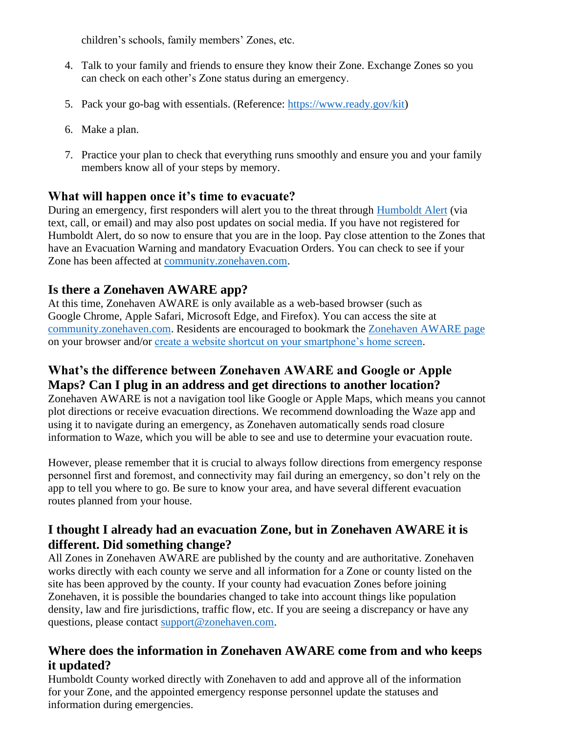children's schools, family members' Zones, etc.

- 4. Talk to your family and friends to ensure they know their Zone. Exchange Zones so you can check on each other's Zone status during an emergency.
- 5. Pack your go-bag with essentials. (Reference: [https://www.ready.gov/kit\)](https://www.ready.gov/kit)
- 6. Make a plan.
- 7. Practice your plan to check that everything runs smoothly and ensure you and your family members know all of your steps by memory.

#### **What will happen once it's time to evacuate?**

During an emergency, first responders will alert you to the threat through [Humboldt Alert](https://humboldtgov.org/2014/Emergency-Notifications) (via text, call, or email) and may also post updates on social media. If you have not registered for Humboldt Alert, do so now to ensure that you are in the loop. Pay close attention to the Zones that have an Evacuation Warning and mandatory Evacuation Orders. You can check to see if your Zone has been affected at [community.zonehaven.com.](community.zonehaven.com)

# **Is there a Zonehaven AWARE app?**

At this time, Zonehaven AWARE is only available as a web-based browser (such as Google Chrome, Apple Safari, Microsoft Edge, and Firefox). You can access the site at [community.zonehaven.com.](community.zonehaven.com) Residents are encouraged to bookmark the [Zonehaven AWARE page](community.zonehaven.com) on your browser and/or [create a website shortcut on your smartphone's home screen.](https://www.cta.org/wp-content/uploads/2020/10/Saving-Links-to-Desktop-and-Mobile-Devices.pdf)

# **What's the difference between Zonehaven AWARE and Google or Apple Maps? Can I plug in an address and get directions to another location?**

Zonehaven AWARE is not a navigation tool like Google or Apple Maps, which means you cannot plot directions or receive evacuation directions. We recommend downloading the Waze app and using it to navigate during an emergency, as Zonehaven automatically sends road closure information to Waze, which you will be able to see and use to determine your evacuation route.

However, please remember that it is crucial to always follow directions from emergency response personnel first and foremost, and connectivity may fail during an emergency, so don't rely on the app to tell you where to go. Be sure to know your area, and have several different evacuation routes planned from your house.

# **I thought I already had an evacuation Zone, but in Zonehaven AWARE it is different. Did something change?**

All Zones in Zonehaven AWARE are published by the county and are authoritative. Zonehaven works directly with each county we serve and all information for a Zone or county listed on the site has been approved by the county. If your county had evacuation Zones before joining Zonehaven, it is possible the boundaries changed to take into account things like population density, law and fire jurisdictions, traffic flow, etc. If you are seeing a discrepancy or have any questions, please contact [support@zonehaven.com.](mailto:support@zonehaven.com)

# **Where does the information in Zonehaven AWARE come from and who keeps it updated?**

Humboldt County worked directly with Zonehaven to add and approve all of the information for your Zone, and the appointed emergency response personnel update the statuses and information during emergencies.